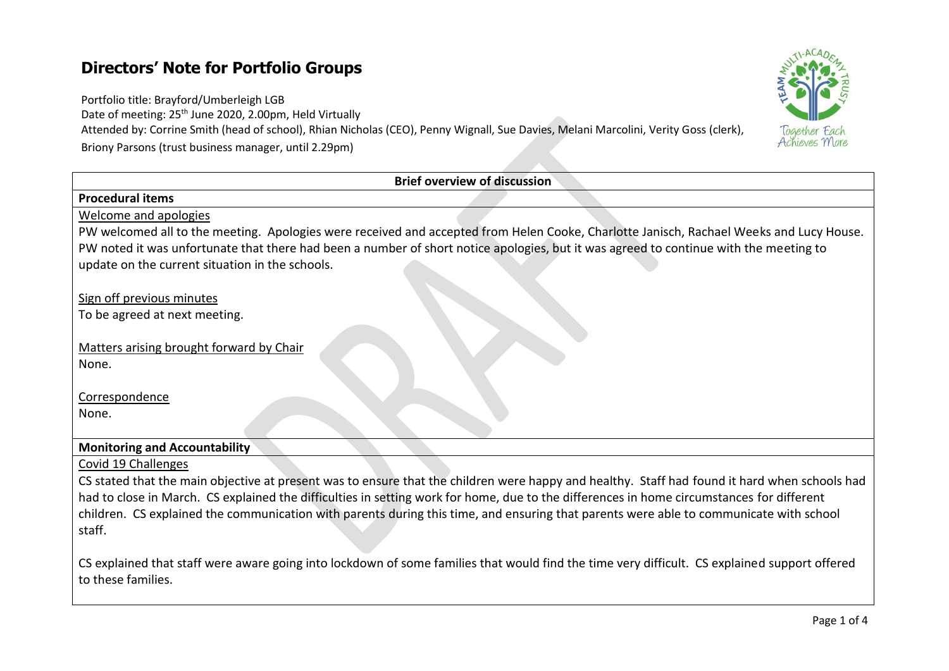## **Directors' Note for Portfolio Groups**

Portfolio title: Brayford/Umberleigh LGB

Date of meeting: 25<sup>th</sup> June 2020, 2.00pm, Held Virtually

Attended by: Corrine Smith (head of school), Rhian Nicholas (CEO), Penny Wignall, Sue Davies, Melani Marcolini, Verity Goss (clerk), Briony Parsons (trust business manager, until 2.29pm)

| <b>Brief overview of discussion</b>                                                                                                                                 |
|---------------------------------------------------------------------------------------------------------------------------------------------------------------------|
| <b>Procedural items</b>                                                                                                                                             |
| <b>Welcome and apologies</b>                                                                                                                                        |
| PW welcomed all to the meeting. Apologies were received and accepted from Helen Cooke, Charlotte Janisch, Rachael Weeks and Lucy House.                             |
| PW noted it was unfortunate that there had been a number of short notice apologies, but it was agreed to continue with the meeting to                               |
| update on the current situation in the schools.                                                                                                                     |
|                                                                                                                                                                     |
| Sign off previous minutes                                                                                                                                           |
| To be agreed at next meeting.                                                                                                                                       |
| Matters arising brought forward by Chair                                                                                                                            |
| None.                                                                                                                                                               |
|                                                                                                                                                                     |
| Correspondence                                                                                                                                                      |
| None.                                                                                                                                                               |
|                                                                                                                                                                     |
| <b>Monitoring and Accountability</b>                                                                                                                                |
| Covid 19 Challenges                                                                                                                                                 |
| CS stated that the main objective at present was to ensure that the children were happy and healthy. Staff had found it hard when schools had                       |
| had to close in March. CS explained the difficulties in setting work for home, due to the differences in home circumstances for different                           |
| children. CS explained the communication with parents during this time, and ensuring that parents were able to communicate with school                              |
| staff.                                                                                                                                                              |
|                                                                                                                                                                     |
| CS explained that staff were aware going into lockdown of some families that would find the time very difficult. CS explained support offered<br>to these families. |
|                                                                                                                                                                     |

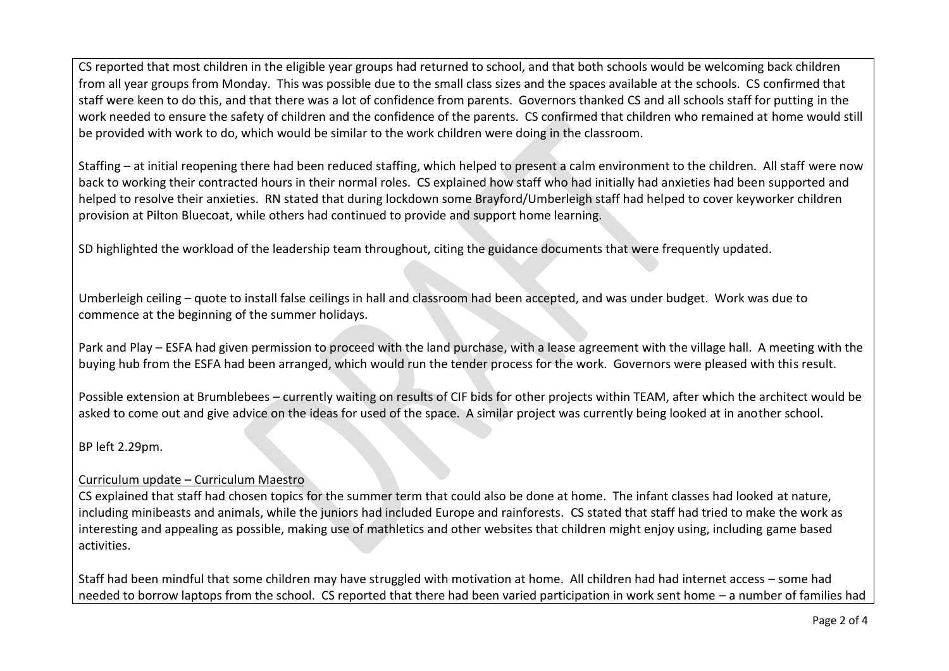CS reported that most children in the eligible year groups had returned to school, and that both schools would be welcoming back children from all year groups from Monday. This was possible due to the small class sizes and the spaces available at the schools. CS confirmed that staff were keen to do this, and that there was a lot of confidence from parents. Governors thanked CS and all schools staff for putting in the work needed to ensure the safety of children and the confidence of the parents. CS confirmed that children who remained at home would still be provided with work to do, which would be similar to the work children were doing in the classroom.

Staffing – at initial reopening there had been reduced staffing, which helped to present a calm environment to the children. All staff were now back to working their contracted hours in their normal roles. CS explained how staff who had initially had anxieties had been supported and helped to resolve their anxieties. RN stated that during lockdown some Brayford/Umberleigh staff had helped to cover keyworker children provision at Pilton Bluecoat, while others had continued to provide and support home learning.

SD highlighted the workload of the leadership team throughout, citing the guidance documents that were frequently updated.

Umberleigh ceiling – quote to install false ceilings in hall and classroom had been accepted, and was under budget. Work was due to commence at the beginning of the summer holidays.

Park and Play – ESFA had given permission to proceed with the land purchase, with a lease agreement with the village hall. A meeting with the buying hub from the ESFA had been arranged, which would run the tender process for the work. Governors were pleased with this result.

Possible extension at Brumblebees – currently waiting on results of CIF bids for other projects within TEAM, after which the architect would be asked to come out and give advice on the ideas for used of the space. A similar project was currently being looked at in another school.

BP left 2.29pm.

## Curriculum update – Curriculum Maestro

CS explained that staff had chosen topics for the summer term that could also be done at home. The infant classes had looked at nature, including minibeasts and animals, while the juniors had included Europe and rainforests. CS stated that staff had tried to make the work as interesting and appealing as possible, making use of mathletics and other websites that children might enjoy using, including game based activities.

Staff had been mindful that some children may have struggled with motivation at home. All children had had internet access – some had needed to borrow laptops from the school. CS reported that there had been varied participation in work sent home – a number of families had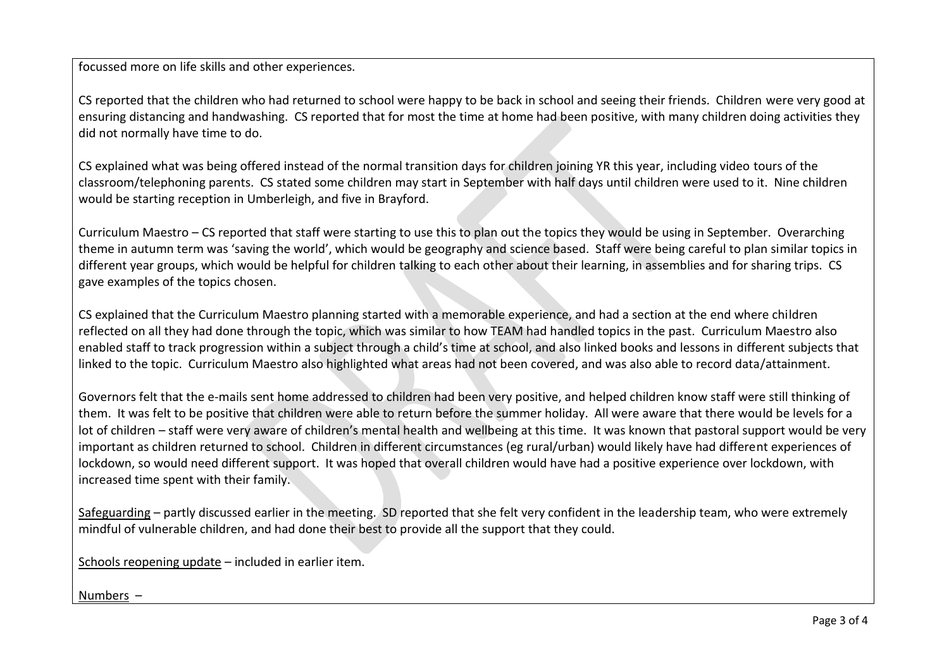focussed more on life skills and other experiences.

CS reported that the children who had returned to school were happy to be back in school and seeing their friends. Children were very good at ensuring distancing and handwashing. CS reported that for most the time at home had been positive, with many children doing activities they did not normally have time to do.

CS explained what was being offered instead of the normal transition days for children joining YR this year, including video tours of the classroom/telephoning parents. CS stated some children may start in September with half days until children were used to it. Nine children would be starting reception in Umberleigh, and five in Brayford.

Curriculum Maestro – CS reported that staff were starting to use this to plan out the topics they would be using in September. Overarching theme in autumn term was 'saving the world', which would be geography and science based. Staff were being careful to plan similar topics in different year groups, which would be helpful for children talking to each other about their learning, in assemblies and for sharing trips. CS gave examples of the topics chosen.

CS explained that the Curriculum Maestro planning started with a memorable experience, and had a section at the end where children reflected on all they had done through the topic, which was similar to how TEAM had handled topics in the past. Curriculum Maestro also enabled staff to track progression within a subject through a child's time at school, and also linked books and lessons in different subjects that linked to the topic. Curriculum Maestro also highlighted what areas had not been covered, and was also able to record data/attainment.

Governors felt that the e-mails sent home addressed to children had been very positive, and helped children know staff were still thinking of them. It was felt to be positive that children were able to return before the summer holiday. All were aware that there would be levels for a lot of children – staff were very aware of children's mental health and wellbeing at this time. It was known that pastoral support would be very important as children returned to school. Children in different circumstances (eg rural/urban) would likely have had different experiences of lockdown, so would need different support. It was hoped that overall children would have had a positive experience over lockdown, with increased time spent with their family.

Safeguarding – partly discussed earlier in the meeting. SD reported that she felt very confident in the leadership team, who were extremely mindful of vulnerable children, and had done their best to provide all the support that they could.

Schools reopening update – included in earlier item.

Numbers –